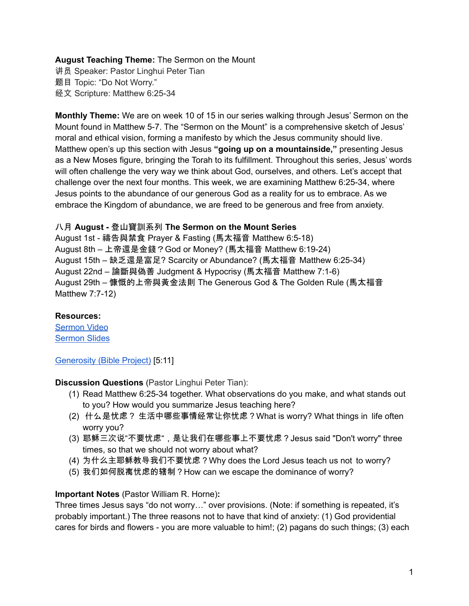# **August Teaching Theme:** The Sermon on the Mount

讲员 Speaker: Pastor Linghui Peter Tian 题目 Topic: "Do Not Worry." 经文 Scripture: Matthew 6:25-34

**Monthly Theme:** We are on week 10 of 15 in our series walking through Jesus' Sermon on the Mount found in Matthew 5-7. The "Sermon on the Mount" is a comprehensive sketch of Jesus' moral and ethical vision, forming a manifesto by which the Jesus community should live. Matthew open's up this section with Jesus **"going up on a mountainside,"** presenting Jesus as a New Moses figure, bringing the Torah to its fulfillment. Throughout this series, Jesus' words will often challenge the very way we think about God, ourselves, and others. Let's accept that challenge over the next four months. This week, we are examining Matthew 6:25-34, where Jesus points to the abundance of our generous God as a reality for us to embrace. As we embrace the Kingdom of abundance, we are freed to be generous and free from anxiety.

## 八月 **August -** 登山寶訓系列 **The Sermon on the Mount Series**

August 1st - 禱告與禁食 Prayer & Fasting (馬太福音 Matthew 6:5-18) August 8th – 上帝還是金錢?God or Money? (馬太福音 Matthew 6:19-24) August 15th – 缺乏還是富足? Scarcity or Abundance? (馬太福音 Matthew 6:25-34) August 22nd – 論斷與偽善 Judgment & Hypocrisy (馬太福音 Matthew 7:1-6) August 29th – 慷慨的上帝與黃金法則 The Generous God & The Golden Rule (馬太福音 Matthew 7:7-12)

### **Resources:**

[Sermon](https://www.youtube.com/watch?v=LQ4nulXR5zw&t=18s) Video [Sermon](http://www.lcccky.org/CellGroup/Meetings/%E7%99%BB%E5%B1%B1%E5%AE%9D%E8%AE%AD%EF%BC%9A%E4%B8%8D%E8%A6%81%E5%BF%A7%E8%99%91.pdf) Slides

[Generosity](https://bibleproject.com/explore/video/generosity/) (Bible Project) [5:11]

### **Discussion Questions** (Pastor Linghui Peter Tian):

- (1) Read Matthew 6:25-34 together. What observations do you make, and what stands out to you? How would you summarize Jesus teaching here?
- (2) 什么是忧虑? 生活中哪些事情经常让你忧虑?What is worry? What things in life often worry you?
- (3) 耶稣三次说"不要忧虑",是让我们在哪些事上不要忧虑?Jesus said "Don't worry" three times, so that we should not worry about what?
- (4) 为什么主耶稣教导我们不要忧虑?Why does the Lord Jesus teach us not to worry?
- (5) 我们如何脱离忧虑的辖制?How can we escape the dominance of worry?

# **Important Notes** (Pastor William R. Horne)**:**

Three times Jesus says "do not worry…" over provisions. (Note: if something is repeated, it's probably important.) The three reasons not to have that kind of anxiety: (1) God providential cares for birds and flowers - you are more valuable to him!; (2) pagans do such things; (3) each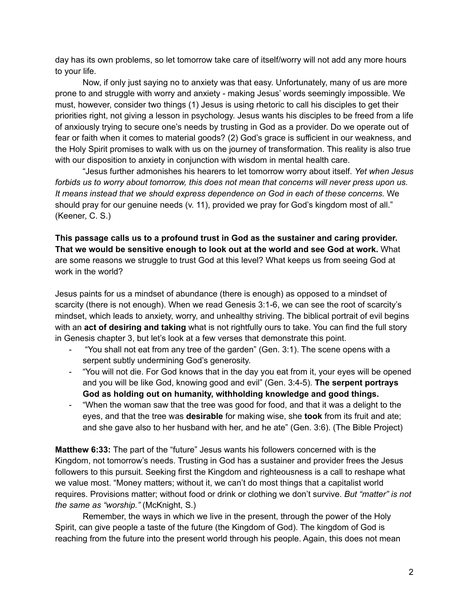day has its own problems, so let tomorrow take care of itself/worry will not add any more hours to your life.

Now, if only just saying no to anxiety was that easy. Unfortunately, many of us are more prone to and struggle with worry and anxiety - making Jesus' words seemingly impossible. We must, however, consider two things (1) Jesus is using rhetoric to call his disciples to get their priorities right, not giving a lesson in psychology. Jesus wants his disciples to be freed from a life of anxiously trying to secure one's needs by trusting in God as a provider. Do we operate out of fear or faith when it comes to material goods? (2) God's grace is sufficient in our weakness, and the Holy Spirit promises to walk with us on the journey of transformation. This reality is also true with our disposition to anxiety in conjunction with wisdom in mental health care.

"Jesus further admonishes his hearers to let tomorrow worry about itself. *Yet when Jesus forbids us to worry about tomorrow, this does not mean that concerns will never press upon us. It means instead that we should express dependence on God in each of these concerns.* We should pray for our genuine needs (v. 11), provided we pray for God's kingdom most of all." (Keener, C. S.)

**This passage calls us to a profound trust in God as the sustainer and caring provider. That we would be sensitive enough to look out at the world and see God at work.** What are some reasons we struggle to trust God at this level? What keeps us from seeing God at work in the world?

Jesus paints for us a mindset of abundance (there is enough) as opposed to a mindset of scarcity (there is not enough). When we read Genesis 3:1-6, we can see the root of scarcity's mindset, which leads to anxiety, worry, and unhealthy striving. The biblical portrait of evil begins with an **act of desiring and taking** what is not rightfully ours to take. You can find the full story in Genesis chapter 3, but let's look at a few verses that demonstrate this point.

- "You shall not eat from any tree of the garden" (Gen. 3:1). The scene opens with a serpent subtly undermining God's generosity.
- "You will not die. For God knows that in the day you eat from it, your eyes will be opened and you will be like God, knowing good and evil" (Gen. 3:4-5). **The serpent portrays God as holding out on humanity, withholding knowledge and good things.**
- "When the woman saw that the tree was good for food, and that it was a delight to the eyes, and that the tree was **desirable** for making wise, she **took** from its fruit and ate; and she gave also to her husband with her, and he ate" (Gen. 3:6). (The Bible Project)

**Matthew 6:33:** The part of the "future" Jesus wants his followers concerned with is the Kingdom, not tomorrow's needs. Trusting in God has a sustainer and provider frees the Jesus followers to this pursuit. Seeking first the Kingdom and righteousness is a call to reshape what we value most. "Money matters; without it, we can't do most things that a capitalist world requires. Provisions matter; without food or drink or clothing we don't survive. *But "matter" is not the same as "worship."* (McKnight, S.)

Remember, the ways in which we live in the present, through the power of the Holy Spirit, can give people a taste of the future (the Kingdom of God). The kingdom of God is reaching from the future into the present world through his people. Again, this does not mean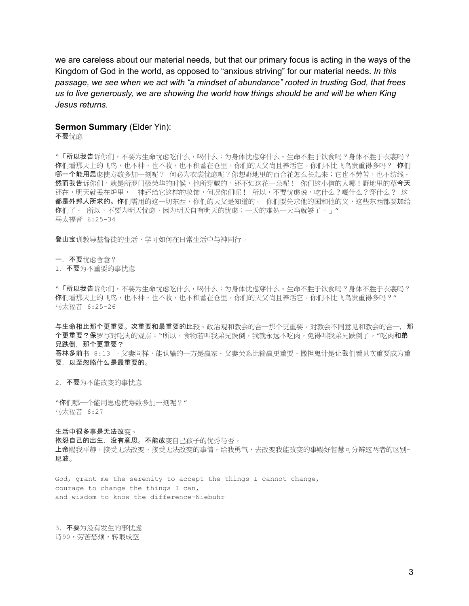we are careless about our material needs, but that our primary focus is acting in the ways of the Kingdom of God in the world, as opposed to "anxious striving" for our material needs. *In this passage, we see when we act with "a mindset of abundance" rooted in trusting God, that frees us to live generously, we are showing the world how things should be and will be when King Jesus returns.*

#### **Sermon Summary** (Elder Yin):

不要忧虑

\* 「所以我告诉你们,不要为生命忧虑吃什么,喝什么;为身体忧虑穿什么。生命不胜于饮食吗?身体不胜于衣裳吗? 你们看那天上的飞鸟,也不种,也不收,也不积蓄在仓里,你们的天父尚且养活它。你们不比飞鸟贵重得多吗? 你们 哪一个能用思虑使寿数多加一刻呢? 何必为衣裳忧虑呢?你想野地里的百合花怎么长起来;它也不劳苦,也不纺线。 然而我告诉你们,就是所罗门极荣华的时候,他所穿戴的,还不如这花一朵呢!你们这小信的人哪!野地里的草今天 还在,明天就丢在炉里, 神还给它这样的妆饰,何况你们呢! 所以,不要忧虑说,吃什么?喝什么?穿什么? 这 都是外邦人所求的。你们需用的这一切东西,你们的天父是知道的。你们要先求他的国和他的义,这些东西都要加给 你们了。所以,不要为明天忧虑,因为明天自有明天的忧虑;一天的难处一天当就够了。」 马太福音 6:25-34

登山宝训教导基督徒的生活,学习如何在日常生活中与神同行。

一,不要忧虑含意?

1, 不要为不重要的事忧虑

**"「所以我告**诉你们,不要为生命忧虑吃什么,喝什么;为身体忧虑穿什么。生命不胜于饮食吗?身体不胜于衣裳吗? 你们看那天上的飞鸟,也不种,也不收,也不积蓄在仓里,你们的天父尚且养活它。你们不比飞鸟贵重得多吗?" 马太福音 6:25-26

与生命相比那个更重要。次重要和最重要的比较。政治观和教会的合一那个更重要。对教会不同意见和教会的合一,那 个更重要?保罗写对吃肉的观点: "所以,食物若叫我弟兄跌倒,我就永远不吃肉,免得叫我弟兄跌倒了。"吃肉和弟 兄跌倒, 那个更重要? 哥林多前书 8:13 。父妻同样,能认输的一方是赢家。父妻关系比输赢更重要。撒担鬼计是让我们看见次重要成为重

要,以至忽略什么是最重要的。

2, 不要为不能改变的事忧虑

"你们哪一个能用思虑使寿数多加一刻呢?" 马太福音 6:27

生活中很多事是无法改变。 抱怨自己的出生,没有意思。不能改变自己孩子的优秀与否。 上帝赐我平静,接受无法改变人事情。给我勇气,去改变我能改变的事赐好智慧可分辨这两者的区别-尼波。

God, grant me the serenity to accept the things I cannot change, courage to change the things I can, and wisdom to know the difference-Niebuhr

3, 不要为没有发生的事忧虑 诗90,劳苦愁烦,转眼成空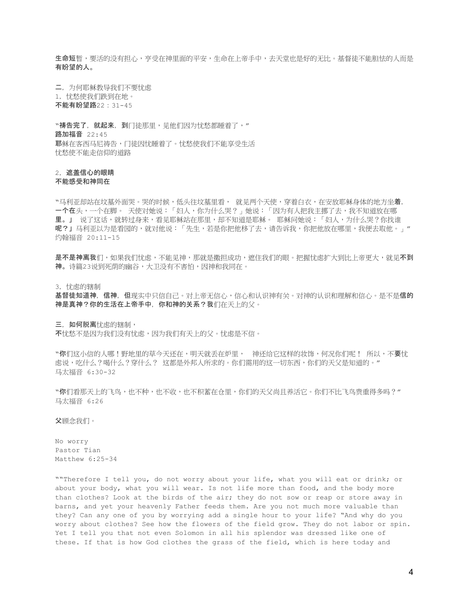生命短暂,要活的没有担心,亨受在神里面的平安,生命在上帝手中,去天堂也是好的无比。基督徒不能胆怯的人而是 有盼望的人。

二,为何耶稣教导我们不要忧虑 1,忧愁使我们跌到在地。 不能有盼望路22:31-45

"祷告完了, 就起来, 到门徒那里, 见他们因为忧愁都睡着了, " 路加福音 22:45 耶稣在客西马尼祷告,门徒因忧睡着了。忧愁使我们不能享受生活 忧愁使不能走信仰的道路

2,遮盖信心的眼睛

不能感受和神同在

"马利亚却站在坟墓外面哭。哭的时候,低头往坟墓里看, 就见两个天使,穿着白衣,在安放耶稣身体的地方坐着, 一个在头,一个在脚。天使对她说:「妇人,你为什么哭?」她说:「因为有人把我主挪了去,我不知道放在哪 里。」 说了这话,就转过身来,看见耶稣站在那里,却不知道是耶稣。 耶稣问她说:「妇人,为什么哭?你找谁 呢?」马利亚以为是看园的,就对他说:「先生,若是你把他移了去,请告诉我,你把他放在哪里,我便去取他。」" 约翰福音 20:11-15

是不是神离我们,如果我们忧虑,不能见神,那就是撒担成功,遮住我们的眼。把握忧虑扩大到比上帝更大,就见不到 神。诗篇23说到死荫的幽谷,大卫没有不害怕,因神和我同在。

3,忧虑的辖制

基督徒知道神, 信神, 但现实中只信自己。对上帝无信心,信心和认识神有关。对神的认识和理解和信心。是不是信的 神是真神?你的生活在上帝手中,你和神的关系?我们在天上的父。

三,如何脱离忧虑的辖制,

不忧愁不是因为我们没有忧虑,因为我们有天上的父。忧虑是不信。

"你们这小信的人哪!野地里的草今天还在,明天就丢在炉里, 神还给它这样的妆饰,何况你们呢! 所以,不要忧 虑说,吃什么?喝什么?穿什么?这都是外邦人所求的。你们需用的这一切东西,你们的天父是知道的。" 马太福音 6:30-32

"你们看那天上的飞鸟,也不种,也不收,也不积蓄在仓里,你们的天父尚且养活它。你们不比飞鸟贵重得多吗?*"* 马太福音 6:26

父顾念我们。

No worry Pastor Tian Matthew 6:25-34

""Therefore I tell you, do not worry about your life, what you will eat or drink; or about your body, what you will wear. Is not life more than food, and the body more than clothes? Look at the birds of the air; they do not sow or reap or store away in barns, and yet your heavenly Father feeds them. Are you not much more valuable than they? Can any one of you by worrying add a single hour to your life? "And why do you worry about clothes? See how the flowers of the field grow. They do not labor or spin. Yet I tell you that not even Solomon in all his splendor was dressed like one of these. If that is how God clothes the grass of the field, which is here today and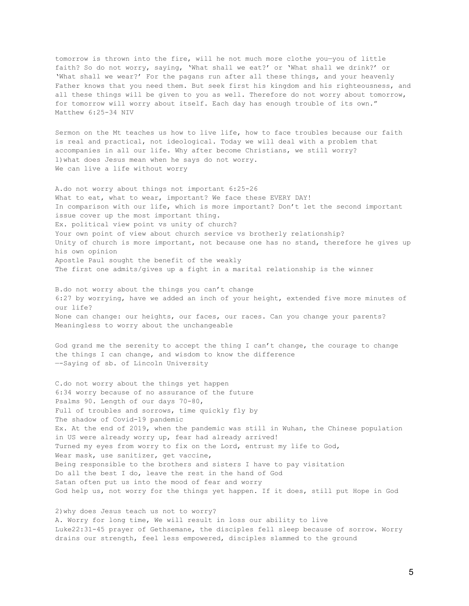tomorrow is thrown into the fire, will he not much more clothe you—you of little faith? So do not worry, saying, 'What shall we eat?' or 'What shall we drink?' or 'What shall we wear?' For the pagans run after all these things, and your heavenly Father knows that you need them. But seek first his kingdom and his righteousness, and all these things will be given to you as well. Therefore do not worry about tomorrow, for tomorrow will worry about itself. Each day has enough trouble of its own." Matthew 6:25-34 NIV

Sermon on the Mt teaches us how to live life, how to face troubles because our faith is real and practical, not ideological. Today we will deal with a problem that accompanies in all our life. Why after become Christians, we still worry? 1)what does Jesus mean when he says do not worry. We can live a life without worry

A.do not worry about things not important 6:25-26 What to eat, what to wear, important? We face these EVERY DAY! In comparison with our life, which is more important? Don't let the second important issue cover up the most important thing. Ex. political view point vs unity of church? Your own point of view about church service vs brotherly relationship? Unity of church is more important, not because one has no stand, therefore he gives up his own opinion Apostle Paul sought the benefit of the weakly The first one admits/gives up a fight in a marital relationship is the winner

B.do not worry about the things you can't change 6:27 by worrying, have we added an inch of your height, extended five more minutes of our life? None can change: our heights, our faces, our races. Can you change your parents? Meaningless to worry about the unchangeable

God grand me the serenity to accept the thing I can't change, the courage to change the things I can change, and wisdom to know the difference —-Saying of sb. of Lincoln University

C.do not worry about the things yet happen 6:34 worry because of no assurance of the future Psalms 90. Length of our days 70-80, Full of troubles and sorrows, time quickly fly by The shadow of Covid-19 pandemic Ex. At the end of 2019, when the pandemic was still in Wuhan, the Chinese population in US were already worry up, fear had already arrived! Turned my eyes from worry to fix on the Lord, entrust my life to God, Wear mask, use sanitizer, get vaccine, Being responsible to the brothers and sisters I have to pay visitation Do all the best I do, leave the rest in the hand of God Satan often put us into the mood of fear and worry God help us, not worry for the things yet happen. If it does, still put Hope in God

2)why does Jesus teach us not to worry? A. Worry for long time, We will result in loss our ability to live Luke22:31-45 prayer of Gethsemane, the disciples fell sleep because of sorrow. Worry drains our strength, feel less empowered, disciples slammed to the ground